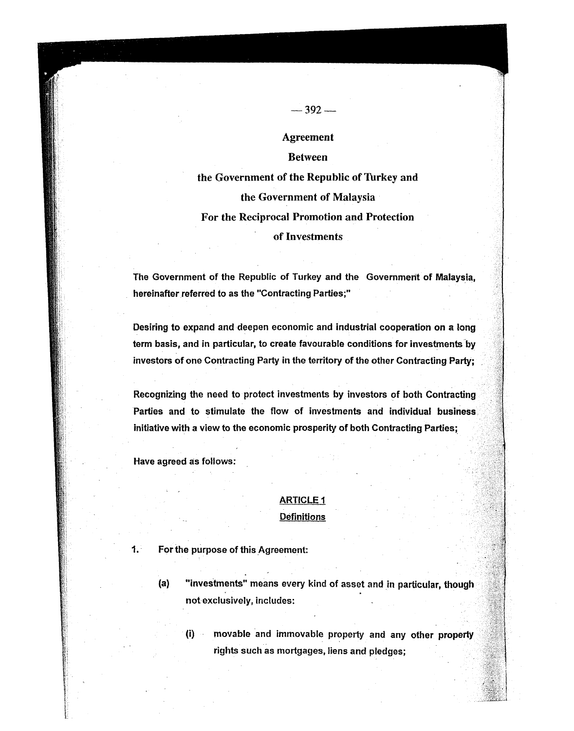# Agreement

 $-392-$ 

## Between

the Government of the Republic of Thrkey and the Government of Malaysia For the Reciprocal Promotion and Protection of Investments

The Government of the Republic of Turkey and the Government of Malaysia. hereinafter referred to as the "Contracting Parties;"

Desiring to expand and deepen economic and industrial cooperation on a long term basis, and in particular, to create favourable conditions for investments by investors of one Contracting Party in the territory of the other Contracting Party;

Recognizing the need to protect investments by investors of both Contracting Parties and to stimulate the flow of investments and individual business initiative with a view to the economic prosperity of both Contracting Parties;

Have agreed as follows:

# ARTICLE 1 Definitions

- 1. For the purpose of this Agreement:
	- (a) "investments" means every kind of asset and in particular, though notexclusively, includes:
		- (i) movable and immovable property and any other property rights such as mortgages, liens and pledges;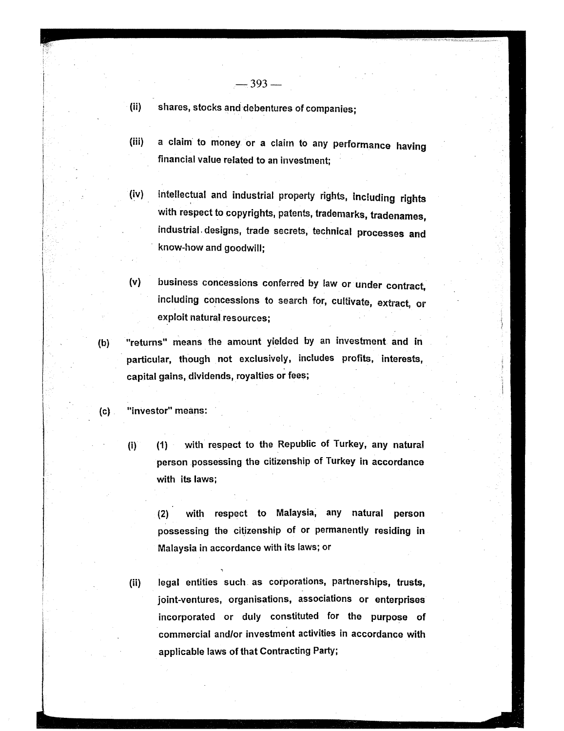(ii) shares, stocks and debentures of companies;

(iii) a claim to money or a claim to any performance having financial value related to an investment;

- (iv) intellectual and industrial property rights, including rights with respect to copyrights, patents, trademarks, tradenames, industrial. designs, trade secrets, technical processes and know-how and goodwill;
- (v) business concessions conferred by law or under contract, including concessions to search for, cultivate, extract, or exploit natural resources;
- (b) "returns" means the amount yielded by an investment and in particular, though not exclusively, includes profits, interests, capital gains, dividends, royalties or fees;

## (c) "investor" means:

(i) (1) with respect to the Republic of Turkey, any naturai person possessing the citizenship of Turkey in accordance with its laws;

(2) with respect to Malaysia, any natural person possessing the citizenship of or permanently residing in Malaysia in accordance with its laws; or

(ii) legal entities such. as corporations, partnerships, trusts, joint-ventures, organisations, associations or enterprises incorporated or duly constituted for the purpose of commercial and/or investment activities in accordance with applicable laws of that Contracting Party;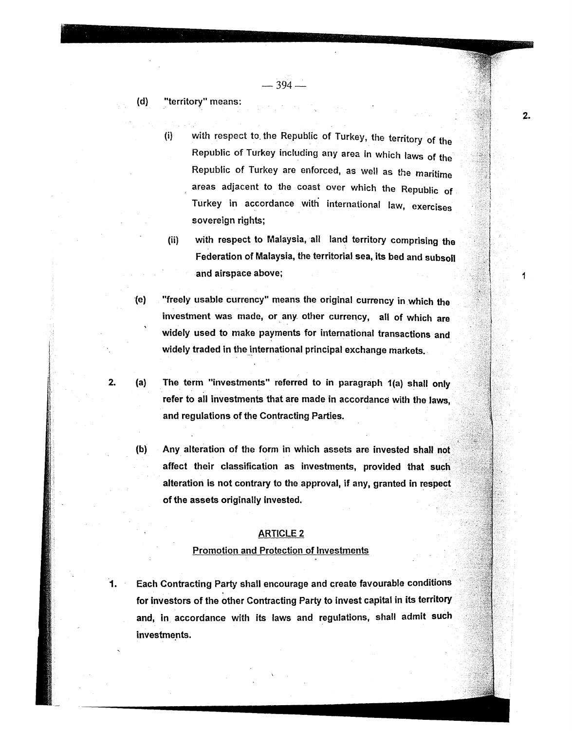$-394-$ 

#### (d) "territory" means:

2.

- (i) with respect to. the Republic of Turkey, the territory of the Republic of Turkey including any area in which laws of the Republic of Turkey are enforced, as weI! as the maritime areas adjacent to the coast over which the Republic of Turkey in accordance with international law, exercises sovereign rights;
- (ii) with respect to Malaysia, all land territory comprising the Federation of Malaysia, the territorial sea, its bed and subsoil and airspace above;
- 1e) "freely usable currency" means the original currency in which the investment was made, or any other currency, all of which are widely used to make payments for international transactions and widely traded in the international principal exchange markets.
- (a) The term "investments" referred to in paragraph 1(a) shall only refer to all investments that are made in accordance with the laws, and regulations of the Contracting Parties.
- (b) Any alteration of the form in which assets are invested shall not. affect their classification as investments, provided that such alteration is not contrary to the approval, if any, granted in respect of the assets originally invested.

#### ARTICLE 2

#### Promotion and Protection of Investments

1. Each Contracting Party shall encourage and create favourable conditions for investors of the other Contracting Party to invest capital in its territory and, in accordance with its laws and regulations, shall admit such investments.

 $2.$ 

1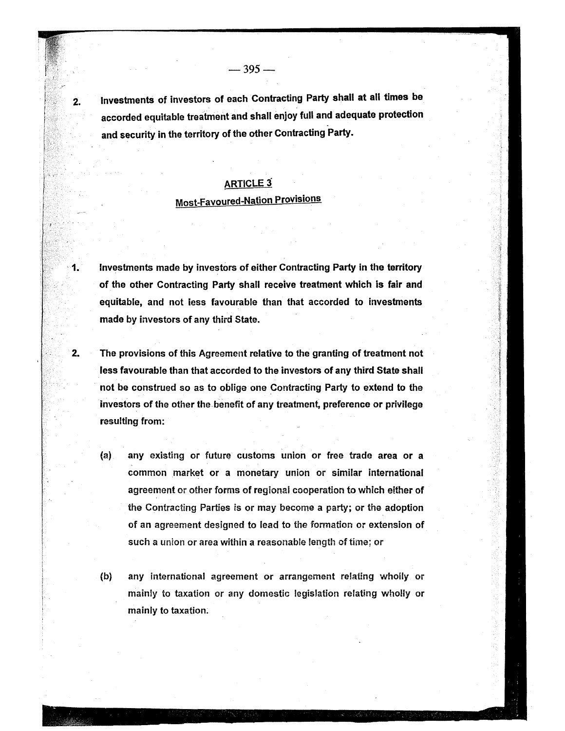2. Investments of investors of each Contracting Party shall at all times be accorded equitable treatment and shall enjoy full and adequate protection and security in the territory of the other Contracting Party.

 $-395-$ 

# **ARTICLE 3**

# Most-Favoured-Nation Provisions

Investments made by investors of either Contracting Party in the territory of the other Contracting Party shall receive treatment which is fair and equitable, and not less favourable than that accorded to investments made by investors of any third State.

- 2. The provisions of this Agreement relative to the granting of treatment not less favourable than that accorded to the investors of any third State shall not be construed so as to oblige one Contracting Party to extend to the investors of the other the benefit of any treatment, preference or privilege resulting from:
	- (a) any existing or future customs union or free trade area or a common market or a monetary union or similar international agreement or other forms of regional cooperation to which either of the Contracting Parties is or may become a party; or the adoption of an agreement designed to lead to the formation or extension of such a union or area within a reasonable length of time; or
	- (b) any international agreement or arrangement relating wholly or mainly to taxation or any domestic legislation relating wholly or mainly to taxation: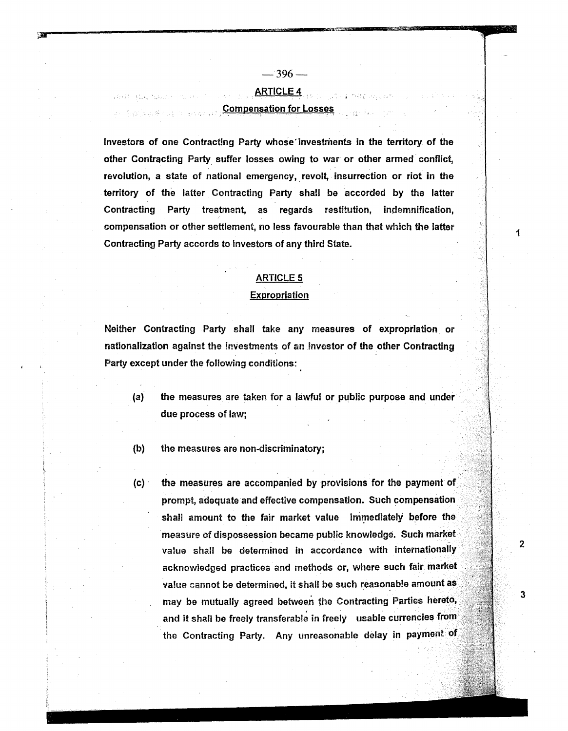$-396-$ 

# ARTICLE 4

#### **Example 15 Compensation for Losses**

Investors of one Contracting Party whose'investments in the territory of the other Contracting Party. suffer losses owing to war or other armed conflict, revolution, a state of national emergency, revolt, insurrection or riot in the territory of the latter Contracting Party shall be accorded by the latter Contracting Party treatment, as regards restltution, indemnification, compensation or other settlement, no less favourable than that which the latter Contracting Party accords to investors of any third State.

# ARTICLE 5

#### Expropriation

Neither Contracting Party shall take any measures of expropriation or nationalization against the investments of an investor of the other Contracting Party except under the following conditions:

(a) the measures are taken for a lawful or public purpose and under due process of law;

(b) the measures are non-discriminatory;

(c)· the measures are accompanied by provisions for the payment of . prompt, adequate and effective compensation. Such compensation shall amount to the fair market value immediately before the . measure of dispossession became public knowledge. Such market value shall be determined in accordance with internationally acknowledged practices and methods or, where such fair market value cannot be determined, it shall be such reasonable amount as may be mutually agreed between file Contracting Parties hereto, and it shall be freely transferable in freely usable currencies from the Contracting Party. Any unreasonable delay in payment of

2

3

1

f

".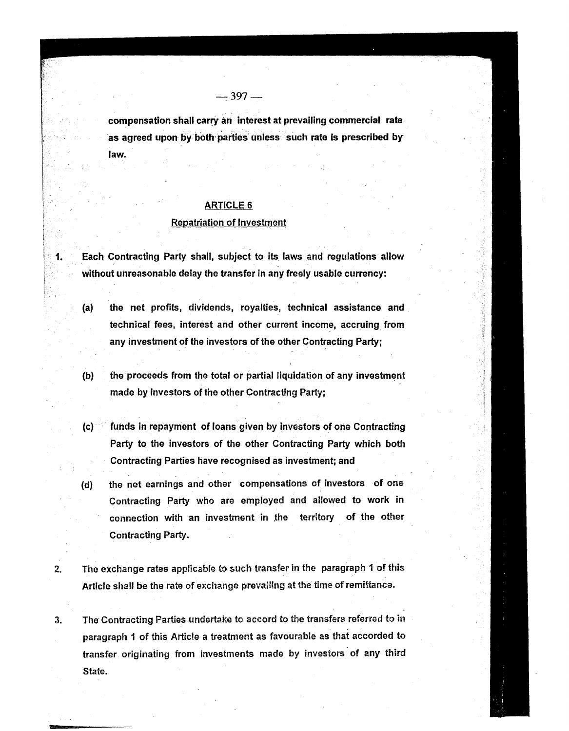compensation shall carry an interest at prevailing commercial rate as agreed upon by both parties unless such rate is prescribed by law.

# ARTICLE 6

#### Repatriation of Investment

1. Each Contracting Party shall, subject to its laws and regulations allow without unreasonable delay the transfer in any freely usable currency:

- (a) the net profits, dividends, royalties, technical assistance and technical fees, interest and other current income, accruing from any investment of the investors of the other Contracting Party;
- (b) the proceeds from the total or partial liquidation of any investment made by investors of the other Contracting Party;
- (c) funds in repayment of loans given by investors of one Contracting Party to the investors of the other Contracting Party which both Contracting Parties have recognised as investment; and
- (d) the net earnings and other compensations of investors of one Contracting Party who are employed and allowed to work in connection with an investment in the territory of the other Contracting Party.
- 2. The exchange rates applicable to such transfer in the paragraph 1 of this Article shall be the rate of exchange prevailing at the time of remittance.
- 3. The' Contracting Parties undertake to accord to the transfers referred to in paragraph 1 of this Article a treatment as favourable as that accorded to transfer. originating from investments made by investors' of any third State.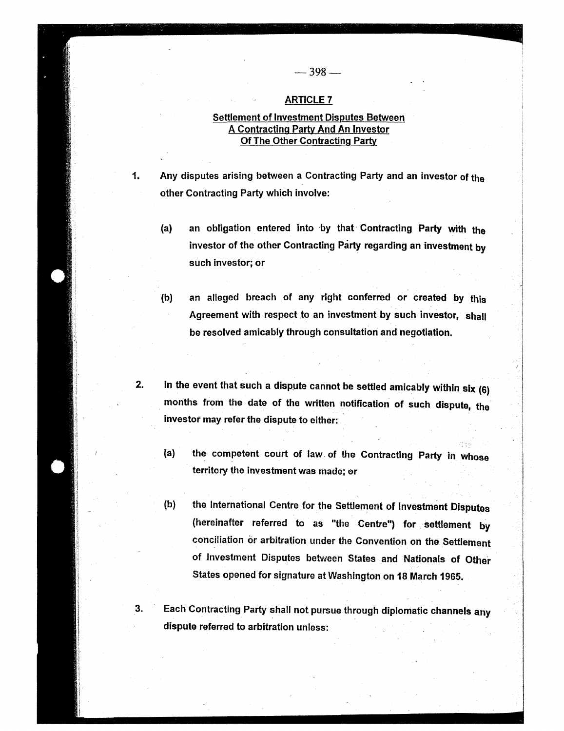#### ARTICLE 7

# Settlement of Investment Disputes Between A Contracting Party And An Investor Of The Other Contracting Party

1. Any disputes arising between a Contracting Party and an investor of the other Contracting Party which involve:

- (a) an obligation entered into by that Contracting Party with the investor of the other Contracting Party regarding an investment by such investor; or
- (b) an alleged breach of any right conferred or created by this Agreement with respect to an investment by such investor, shall be resolved amicably through consultation and negotiation.
- 2. In the event that such a dispute cannot be settled amicably within  $six(6)$ months from the date of the written notification of such dispute, the investor may refer the dispute to either:
	- {a) the competent court of law. of the Contracting Party in whose territory the investment was made; or
	- (b) the International Centre for the Settlement of Investment Disputes (hereinafter referred to as "the Centre") for settlement by conciliation or arbitration under the Convention on the Settlement of Investment Disputes between States and Nationals of Other States opened for signature at Washington on 18 March 1965.

3. Each Contracting Party shall not pursue through diplomatic channels any dispute referred to arbitration unless: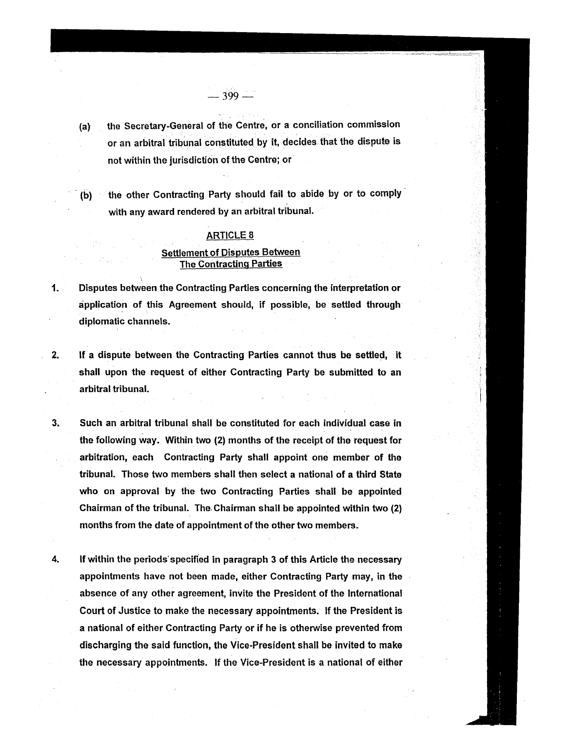(a) the Secretary-General of the Centre, or a conciliation commission or an arbitral tribunal constituted by it. decides that the dispute is not within the jurisdiction of the Centre; or

-399-"

(b) the other Contracting Party should fail to abide by or to comply with any award rendered by an arbitral tribunal.

## ARTICLE 8

## Settlement of Disputes Between The Contracting Parties

- 1. Disputes between the Contracting Parties concerning the interpretation or application of this Agreement should. if possible. be settled through diplomatic channels.
- 2. If a dispute between the Contracting Parties cannot thus be settled, it shall upon the request of either Contracting Party be submitted to an arbitral tribunal.
- 3. Such an arbitral tribunal shall be constituted for each individual case in the following way. Within two (2) months of the receipt of the request for arbitration. each Contracting Party shall appoint one member of the tribunal. Those two members shall then select a national of a third State who on approval by the two Contracting Parties shall be appointed Chairman of the tribunal. The. Chairman shall be appointed within two (2) months from the date of appointment of the other two members.
- 4. If within the periods' specified in paragraph 3 of this Article the necessary appointments have not been made, either Contracting Party may, in the absence of any other agreement. invite the President of the International Court of Justice to make the necessary appointments. If the President is a national of either Contracting Party or if he is otherwise prevented from discharging the said function, the Vice-President shall be invited to make the necessary appointments. If the Vice-President is a national of either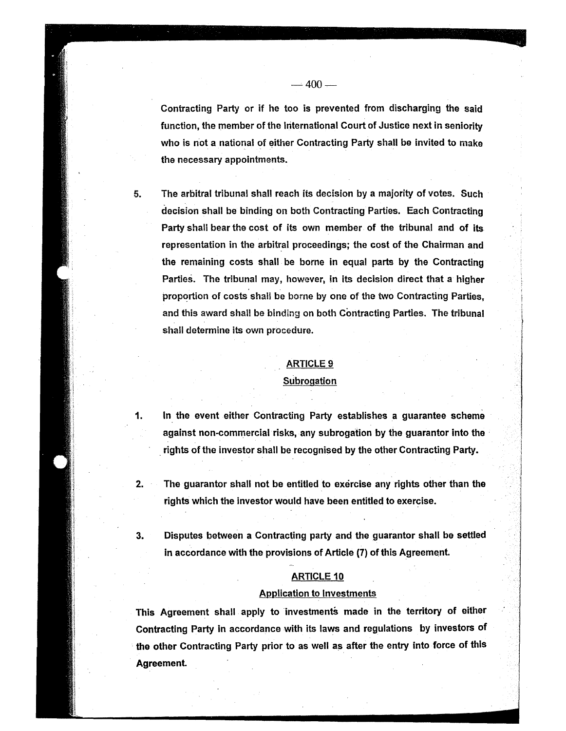who is not a national of either Contracting Party shall be invited to make

the necessary appointments.

 $-400-$ 

5. The arbitral tribunal shall reach its decision by a majority of votes. Such decision shall be binding on both Contracting Parties. Each Contracting Party shall bear the cost of its own member of the tribunal and of its representation in the arbitral proceedings; the cost of the Chairman and the remaining costs shall be borne in equal parts by the Contracting Parties. The tribunal may, however, in its decision direct that a higher proportion of costs shall be borne by one of the two Contracting Parties, and this award shall be binding on both Contracting Parties. The tribunal shall determine its own procedure.

#### ARTICLE 9

#### **Subrogation**

1. In the event either Contracting Party establishes a guarantee scheme against non-commercial risks, any subrogation by the guarantor into the rights of the investor shall be recognised by the other Contracting Party.

- 2. The guarantor shall not be entitled to exercise any rights other than the rights which the investor would have been entitled to exercise.
- 3. Disputes between a Contracting party and the guarantor shall be settled in accordance with the provisions of Article (7) of this Agreement.

#### ARTICLE 10

#### Application to Investments

This Agreement shall apply to investments made in the territory of either Contracting Party in accordance with its laws and regulations by investors of the other Contracting Party prior to as well as after the entry into force of this Agreement.